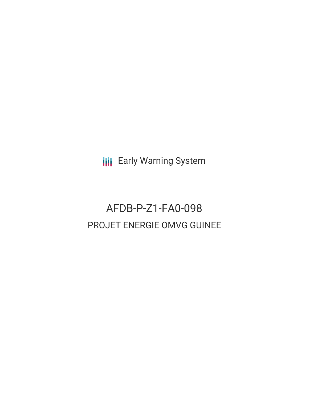**III** Early Warning System

# AFDB-P-Z1-FA0-098 PROJET ENERGIE OMVG GUINEE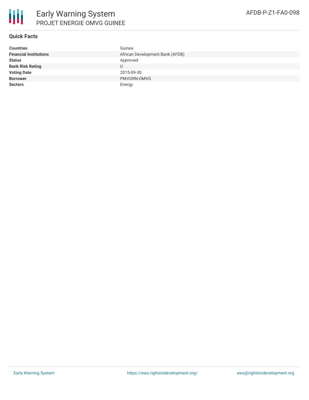

### **Quick Facts**

| <b>Countries</b>              | Guinea                          |
|-------------------------------|---------------------------------|
| <b>Financial Institutions</b> | African Development Bank (AFDB) |
| <b>Status</b>                 | Approved                        |
| <b>Bank Risk Rating</b>       |                                 |
| <b>Voting Date</b>            | 2015-09-30                      |
| <b>Borrower</b>               | PMVGRN-OMVG                     |
| <b>Sectors</b>                | Energy                          |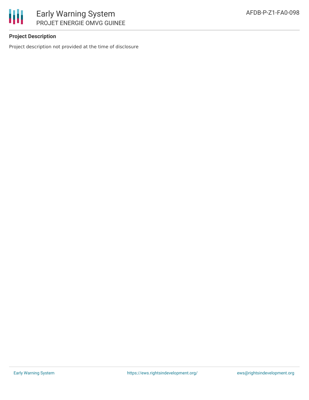

## **Project Description**

Project description not provided at the time of disclosure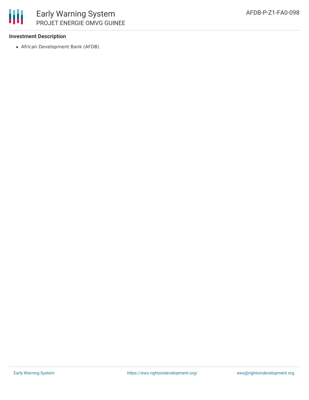

## **Investment Description**

African Development Bank (AFDB)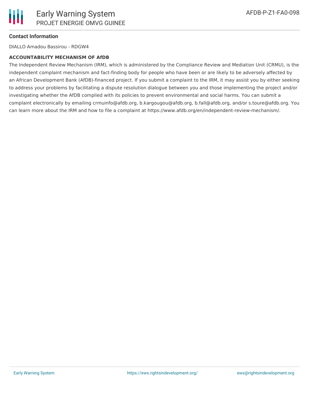

### **Contact Information**

DIALLO Amadou Bassirou - RDGW4

#### **ACCOUNTABILITY MECHANISM OF AfDB**

The Independent Review Mechanism (IRM), which is administered by the Compliance Review and Mediation Unit (CRMU), is the independent complaint mechanism and fact-finding body for people who have been or are likely to be adversely affected by an African Development Bank (AfDB)-financed project. If you submit a complaint to the IRM, it may assist you by either seeking to address your problems by facilitating a dispute resolution dialogue between you and those implementing the project and/or investigating whether the AfDB complied with its policies to prevent environmental and social harms. You can submit a complaint electronically by emailing crmuinfo@afdb.org, b.kargougou@afdb.org, b.fall@afdb.org, and/or s.toure@afdb.org. You can learn more about the IRM and how to file a complaint at https://www.afdb.org/en/independent-review-mechanism/.